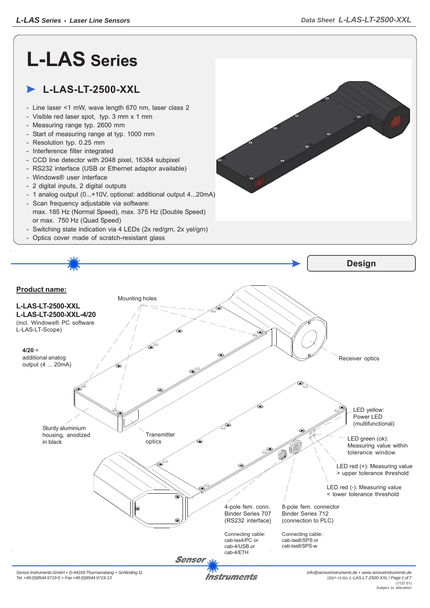## **L-LAS Series**

## **L-LAS-LT-2500-XXL**

- Line laser <1 mW, wave length 670 nm, laser class 2
- Visible red laser spot, typ. 3 mm x 1 mm
- Measuring range typ. 2600 mm
- Start of measuring range at typ. 1000 mm
- Resolution typ. 0.25 mm
- Interference filter integrated
- CCD line detector with 2048 pixel, 16384 subpixel
- RS232 interface (USB or Ethernet adaptor available)
- Windows® user interface
- 2 digital inputs, 2 digital outputs
- 1 analog output (0...+10V, optional: additional output 4...20mA)
- Scan frequency adjustable via software: max. 185 Hz (Normal Speed), max. 375 Hz (Double Speed) or max. 750 Hz (Quad Speed)
- Switching state indication via 4 LEDs (2x red/grn, 2x yel/grn)
- Optics cover made of scratch-resistant glass



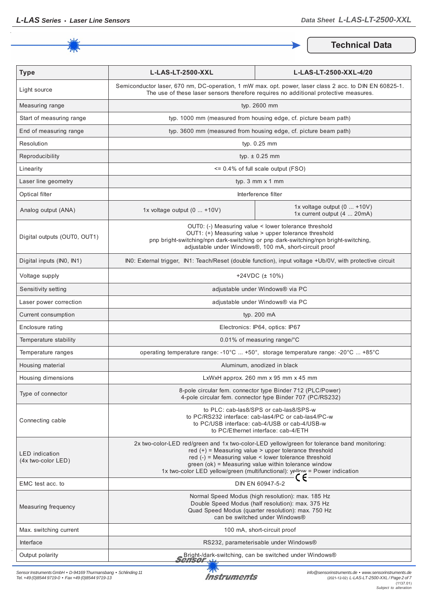

**Technical Data**

| <b>Type</b>                                 | <b>L-LAS-LT-2500-XXL</b><br>L-LAS-LT-2500-XXL-4/20                                                                                                                                                                                                                                                                                                      |                                                              |  |
|---------------------------------------------|---------------------------------------------------------------------------------------------------------------------------------------------------------------------------------------------------------------------------------------------------------------------------------------------------------------------------------------------------------|--------------------------------------------------------------|--|
| Light source                                | Semiconductor laser, 670 nm, DC-operation, 1 mW max. opt. power, laser class 2 acc. to DIN EN 60825-1.<br>The use of these laser sensors therefore requires no additional protective measures.                                                                                                                                                          |                                                              |  |
| Measuring range                             | typ. 2600 mm                                                                                                                                                                                                                                                                                                                                            |                                                              |  |
| Start of measuring range                    | typ. 1000 mm (measured from housing edge, cf. picture beam path)                                                                                                                                                                                                                                                                                        |                                                              |  |
| End of measuring range                      | typ. 3600 mm (measured from housing edge, cf. picture beam path)                                                                                                                                                                                                                                                                                        |                                                              |  |
| Resolution                                  | typ. 0.25 mm                                                                                                                                                                                                                                                                                                                                            |                                                              |  |
| Reproducibility                             | typ. $\pm$ 0.25 mm                                                                                                                                                                                                                                                                                                                                      |                                                              |  |
| Linearity                                   | $\leq$ 0.4% of full scale output (FSO)                                                                                                                                                                                                                                                                                                                  |                                                              |  |
| Laser line geometry                         | typ. 3 mm x 1 mm                                                                                                                                                                                                                                                                                                                                        |                                                              |  |
| Optical filter                              | Interference filter                                                                                                                                                                                                                                                                                                                                     |                                                              |  |
| Analog output (ANA)                         | 1x voltage output $(0  +10V)$                                                                                                                                                                                                                                                                                                                           | 1x voltage output $(0  +10V)$<br>1x current output (4  20mA) |  |
| Digital outputs (OUT0, OUT1)                | OUT0: (-) Measuring value < lower tolerance threshold<br>OUT1: (+) Measuring value > upper tolerance threshold<br>pnp bright-switching/npn dark-switching or pnp dark-switching/npn bright-switching,<br>adjustable under Windows®, 100 mA, short-circuit proof                                                                                         |                                                              |  |
| Digital inputs (IN0, IN1)                   | INO: External trigger, IN1: Teach/Reset (double function), input voltage +Ub/0V, with protective circuit                                                                                                                                                                                                                                                |                                                              |  |
| Voltage supply                              | +24VDC $(\pm 10\%)$                                                                                                                                                                                                                                                                                                                                     |                                                              |  |
| Sensitivity setting                         | adjustable under Windows® via PC                                                                                                                                                                                                                                                                                                                        |                                                              |  |
| Laser power correction                      | adjustable under Windows® via PC                                                                                                                                                                                                                                                                                                                        |                                                              |  |
| Current consumption                         | typ. 200 mA                                                                                                                                                                                                                                                                                                                                             |                                                              |  |
| Enclosure rating                            | Electronics: IP64, optics: IP67                                                                                                                                                                                                                                                                                                                         |                                                              |  |
| Temperature stability                       | 0.01% of measuring range/°C                                                                                                                                                                                                                                                                                                                             |                                                              |  |
| Temperature ranges                          | operating temperature range: -10°C  +50°, storage temperature range: -20°C  +85°C                                                                                                                                                                                                                                                                       |                                                              |  |
| Housing material                            | Aluminum, anodized in black                                                                                                                                                                                                                                                                                                                             |                                                              |  |
| Housing dimensions                          | LxWxH approx. 260 mm x 95 mm x 45 mm                                                                                                                                                                                                                                                                                                                    |                                                              |  |
| Type of connector                           | 8-pole circular fem. connector type Binder 712 (PLC/Power)<br>4-pole circular fem. connector type Binder 707 (PC/RS232)                                                                                                                                                                                                                                 |                                                              |  |
| Connecting cable                            | to PLC: cab-las8/SPS or cab-las8/SPS-w<br>to PC/RS232 interface: cab-las4/PC or cab-las4/PC-w<br>to PC/USB interface: cab-4/USB or cab-4/USB-w<br>to PC/Ethernet interface: cab-4/ETH                                                                                                                                                                   |                                                              |  |
| <b>LED</b> indication<br>(4x two-color LED) | 2x two-color-LED red/green and 1x two-color-LED yellow/green for tolerance band monitoring:<br>red $(+)$ = Measuring value > upper tolerance threshold<br>red $(-)$ = Measuring value < lower tolerance threshold<br>green (ok) = Measuring value within tolerance window<br>1x two-color LED yellow/green (multifunctional): yellow = Power indication |                                                              |  |
| EMC test acc. to                            | DIN EN 60947-5-2                                                                                                                                                                                                                                                                                                                                        |                                                              |  |
| Measuring frequency                         | Normal Speed Modus (high resolution): max. 185 Hz<br>Double Speed Modus (half resolution): max. 375 Hz<br>Quad Speed Modus (quarter resolution): max. 750 Hz<br>can be switched under Windows®                                                                                                                                                          |                                                              |  |
| Max. switching current                      | 100 mA, short-circuit proof                                                                                                                                                                                                                                                                                                                             |                                                              |  |
| Interface                                   | RS232, parameterisable under Windows®                                                                                                                                                                                                                                                                                                                   |                                                              |  |
| Output polarity                             | Bright-/dark-switching, can be switched under Windows®<br>Sensor <sub>all</sub>                                                                                                                                                                                                                                                                         |                                                              |  |

*Sensor Instruments GmbH • D-94169 Thurmansbang • Schlinding 11 Tel. +49 (0)8544 9719-0 • Fax +49 (0)8544 9719-13*

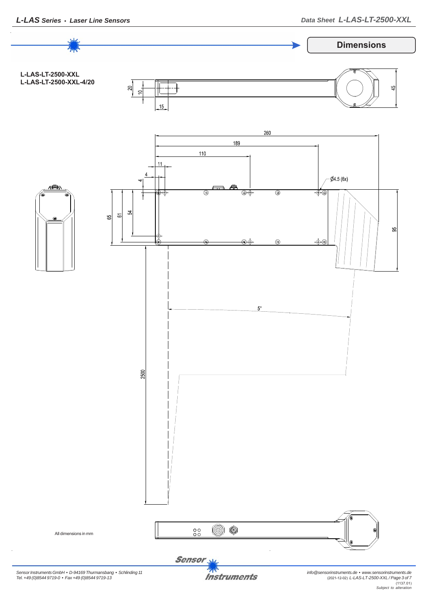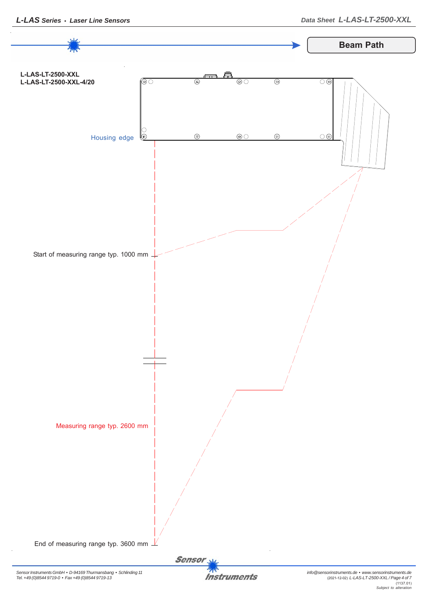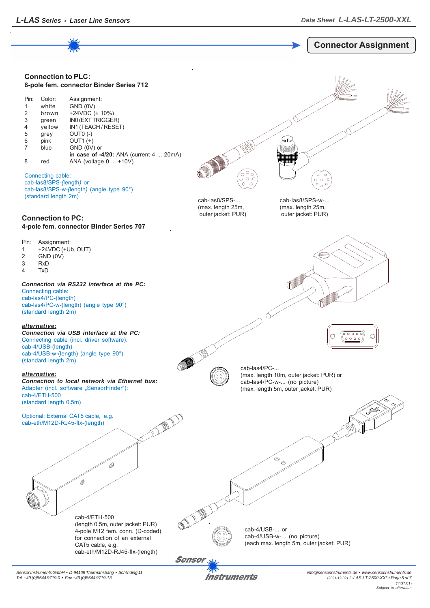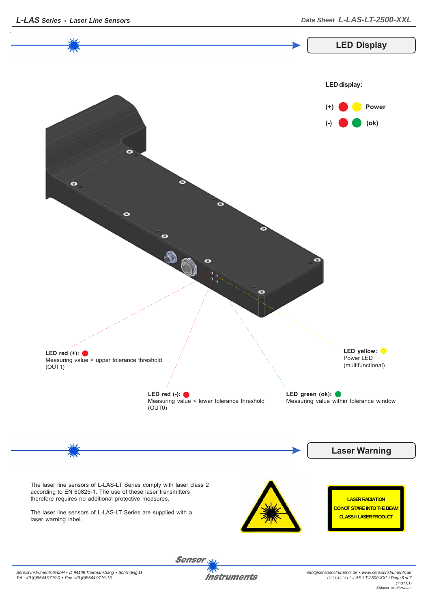

*Sensor Instruments GmbH • D-94169 Thurmansbang • Schlinding 11 Tel. +49 (0)8544 9719-0 • Fax +49 (0)8544 9719-13*

**Instruments**